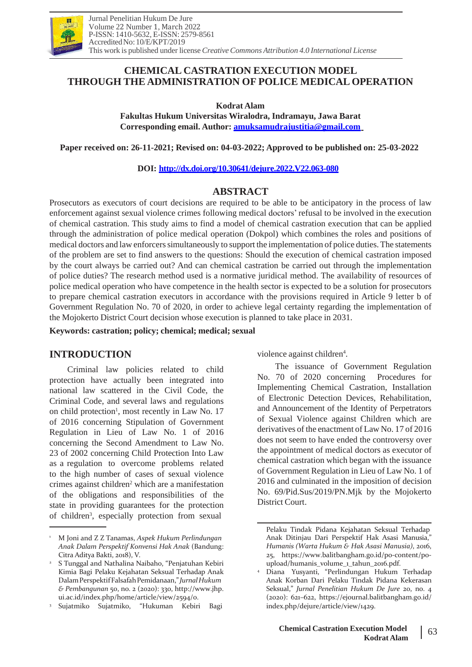

# **CHEMICAL CASTRATION EXECUTION MODEL THROUGH THE ADMINISTRATION OF POLICE MEDICAL OPERATION**

**Kodrat Alam**

**Fakultas Hukum Universitas Wiralodra, Indramayu, Jawa Barat Corresponding email. Author: [amuksamudrajustitia@gmail.com](mailto:amuksamudrajustitia@gmail.com)**

**Paper received on: 26-11-2021; Revised on: 04-03-2022; Approved to be published on: 25-03-2022**

**DOI: <http://dx.doi.org/10.30641/dejure.2022.V22.063-080>**

# **ABSTRACT**

Prosecutors as executors of court decisions are required to be able to be anticipatory in the process of law enforcement against sexual violence crimes following medical doctors' refusal to be involved in the execution of chemical castration. This study aims to find a model of chemical castration execution that can be applied through the administration of police medical operation (Dokpol) which combines the roles and positions of medical doctors and law enforcers simultaneously to support the implementation of police duties. The statements of the problem are set to find answers to the questions: Should the execution of chemical castration imposed by the court always be carried out? And can chemical castration be carried out through the implementation of police duties? The research method used is a normative juridical method. The availability of resources of police medical operation who have competence in the health sector is expected to be a solution for prosecutors to prepare chemical castration executors in accordance with the provisions required in Article 9 letter b of Government Regulation No. 70 of 2020, in order to achieve legal certainty regarding the implementation of the Mojokerto District Court decision whose execution is planned to take place in 2031.

**Keywords: castration; policy; chemical; medical; sexual**

# **INTRODUCTION**

Criminal law policies related to child protection have actually been integrated into national law scattered in the Civil Code, the Criminal Code, and several laws and regulations on child protection<sup>1</sup>, most recently in Law No. 17 of 2016 concerning Stipulation of Government Regulation in Lieu of Law No. 1 of 2016 concerning the Second Amendment to Law No. 23 of 2002 concerning Child Protection Into Law as a regulation to overcome problems related to the high number of cases of sexual violence crimes against children<sup>2</sup> which are a manifestation of the obligations and responsibilities of the state in providing guarantees for the protection of children<sup>3</sup>, especially protection from sexual

violence against children<sup>4</sup>.

The issuance of Government Regulation No. 70 of 2020 concerning Procedures for Implementing Chemical Castration, Installation of Electronic Detection Devices, Rehabilitation, and Announcement of the Identity of Perpetrators of Sexual Violence against Children which are derivatives of the enactment of Law No. 17 of 2016 does not seem to have ended the controversy over the appointment of medical doctors as executor of chemical castration which began with the issuance of Government Regulation in Lieu of Law No. 1 of 2016 and culminated in the imposition of decision No. 69/Pid.Sus/2019/PN.Mjk by the Mojokerto District Court.

<sup>1</sup> M Joni and Z Z Tanamas, *Aspek Hukum Perlindungan Anak Dalam Perspektif Konvensi Hak Anak* (Bandung: Citra Aditya Bakti, 2018), V.

<sup>&</sup>lt;sup>2</sup> S Tunggal and Nathalina Naibaho, "Penjatuhan Kebiri Kimia Bagi Pelaku Kejahatan Seksual Terhadap Anak DalamPerspektifFalsafahPemidanaan,"*JurnalHukum & Pembangunan* 50, no. 2 (2020): 330, http://www.jhp. ui.ac.id/index.php/home/article/view/2594/0.

Sujatmiko Sujatmiko, "Hukuman Kebiri Bagi 3

Pelaku Tindak Pidana Kejahatan Seksual Terhadap Anak Ditinjau Dari Perspektif Hak Asasi Manusia," *Humanis (Warta Hukum & Hak Asasi Manusia)*, 2016, 25, h[ttps://www.balitb](http://www.balitbangham.go.id/po-content/po-)an[gham.go.id/po-content/po](http://www.balitbangham.go.id/po-content/po-)upload/humanis\_volume\_1\_tahun\_2016.pdf.

Diana Yusyanti, "Perlindungan Hukum Terhadap Anak Korban Dari Pelaku Tindak Pidana Kekerasan Seksual," *Jurnal Penelitian Hukum De Jure* 20, no. 4 (2020): 621–622, https://ejournal.balitbangham.go.id/ index.php/dejure/article/view/1429. 4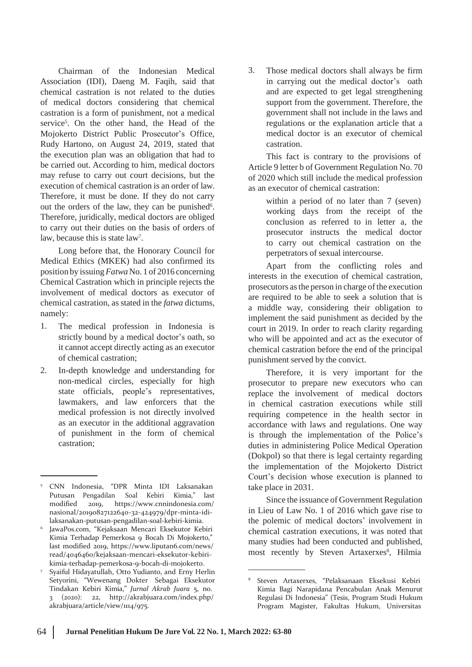Chairman of the Indonesian Medical Association (IDI), Daeng M. Faqih, said that chemical castration is not related to the duties of medical doctors considering that chemical castration is a form of punishment, not a medical service<sup>5</sup>. On the other hand, the Head of the Mojokerto District Public Prosecutor's Office, Rudy Hartono, on August 24, 2019, stated that the execution plan was an obligation that had to be carried out. According to him, medical doctors may refuse to carry out court decisions, but the execution of chemical castration is an order of law. Therefore, it must be done. If they do not carry out the orders of the law, they can be punished<sup>6</sup>. Therefore, juridically, medical doctors are obliged to carry out their duties on the basis of orders of law, because this is state law<sup>7</sup>.

Long before that, the Honorary Council for Medical Ethics (MKEK) had also confirmed its position by issuing*Fatwa* No. 1 of 2016 concerning Chemical Castration which in principle rejects the involvement of medical doctors as executor of chemical castration, as stated in the *fatwa* dictums, namely:

- 1. The medical profession in Indonesia is strictly bound by a medical doctor's oath, so it cannot accept directly acting as an executor of chemical castration;
- In-depth knowledge and understanding for non-medical circles, especially for high state officials, people's representatives, lawmakers, and law enforcers that the medical profession is not directly involved as an executor in the additional aggravation of punishment in the form of chemical castration; 2.

- JawaPos.com, "Kejaksaan Mencari Eksekutor Kebiri Kimia Terhadap Pemerkosa 9 Bocah Di Mojokerto," last modified 2019, h[ttps://www.liputan6.com/news/](http://www.liputan6.com/news/) read/4046460/kejaksaan-mencari-eksekutor-kebirikimia-terhadap-pemerkosa-9-bocah-di-mojokerto. 6
- Syaiful Hidayatullah, Otto Yudianto, and Erny Herlin Setyorini, "Wewenang Dokter Sebagai Eksekutor Tindakan Kebiri Kimia," *Jurnal Akrab Juara* 5, no. 3 (2020): 22, <http://akrabjuara.com/index.php/> akrabjuara/article/view/1114/975. 7

3. Those medical doctors shall always be firm in carrying out the medical doctor's oath and are expected to get legal strengthening support from the government. Therefore, the government shall not include in the laws and regulations or the explanation article that a medical doctor is an executor of chemical castration.

This fact is contrary to the provisions of Article 9 letter b of Government Regulation No. 70 of 2020 which still include the medical profession as an executor of chemical castration:

within a period of no later than 7 (seven) working days from the receipt of the conclusion as referred to in letter a, the prosecutor instructs the medical doctor to carry out chemical castration on the perpetrators of sexual intercourse.

Apart from the conflicting roles and interests in the execution of chemical castration, prosecutors as the person in charge of the execution are required to be able to seek a solution that is a middle way, considering their obligation to implement the said punishment as decided by the court in 2019. In order to reach clarity regarding who will be appointed and act as the executor of chemical castration before the end of the principal punishment served by the convict.

Therefore, it is very important for the prosecutor to prepare new executors who can replace the involvement of medical doctors in chemical castration executions while still requiring competence in the health sector in accordance with laws and regulations. One way is through the implementation of the Police's duties in administering Police Medical Operation (Dokpol) so that there is legal certainty regarding the implementation of the Mojokerto District Court's decision whose execution is planned to take place in 2031.

Since the issuance of Government Regulation in Lieu of Law No. 1 of 2016 which gave rise to the polemic of medical doctors' involvement in chemical castration executions, it was noted that many studies had been conducted and published, most recently by Steven Artaxerxes<sup>8</sup>, Hilmia

<sup>5</sup> CNN Indonesia, "DPR Minta IDI Laksanakan Putusan Pengadilan Soal Kebiri Kimia," last modified 2019, h[ttps://www.cnnindonesia.co](http://www.cnnindonesia.com/)m/ nasional/20190827122640-32-424979/dpr-minta-idilaksanakan-putusan-pengadilan-soal-kebiri-kimia.

<sup>8</sup> Steven Artaxerxes, "Pelaksanaan Eksekusi Kebiri Kimia Bagi Narapidana Pencabulan Anak Menurut Regulasi Di Indonesia" (Tesis, Program Studi Hukum Program Magister, Fakultas Hukum, Universitas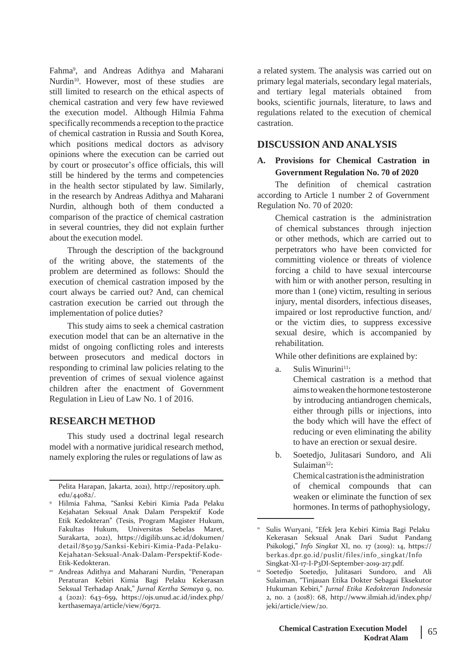Fahma<sup>9</sup> , and Andreas Adithya and Maharani Nurdin<sup>10</sup>. However, most of these studies are still limited to research on the ethical aspects of chemical castration and very few have reviewed the execution model. Although Hilmia Fahma specifically recommends a reception to the practice of chemical castration in Russia and South Korea, which positions medical doctors as advisory opinions where the execution can be carried out by court or prosecutor's office officials, this will still be hindered by the terms and competencies in the health sector stipulated by law. Similarly, in the research by Andreas Adithya and Maharani Nurdin, although both of them conducted a comparison of the practice of chemical castration in several countries, they did not explain further about the execution model.

Through the description of the background of the writing above, the statements of the problem are determined as follows: Should the execution of chemical castration imposed by the court always be carried out? And, can chemical castration execution be carried out through the implementation of police duties?

This study aims to seek a chemical castration execution model that can be an alternative in the midst of ongoing conflicting roles and interests between prosecutors and medical doctors in responding to criminal law policies relating to the prevention of crimes of sexual violence against children after the enactment of Government Regulation in Lieu of Law No. 1 of 2016.

# **RESEARCH METHOD**

This study used a doctrinal legal research model with a normative juridical research method, namely exploring the rules or regulations of law as b.

a related system. The analysis was carried out on primary legal materials, secondary legal materials, and tertiary legal materials obtained from books, scientific journals, literature, to laws and regulations related to the execution of chemical castration.

### **DISCUSSION AND ANALYSIS**

### **A. Provisions for Chemical Castration in Government Regulation No. 70 of 2020**

The definition of chemical castration according to Article 1 number 2 of Government Regulation No. 70 of 2020:

> Chemical castration is the administration of chemical substances through injection or other methods, which are carried out to perpetrators who have been convicted for committing violence or threats of violence forcing a child to have sexual intercourse with him or with another person, resulting in more than 1 (one) victim, resulting in serious injury, mental disorders, infectious diseases, impaired or lost reproductive function, and/ or the victim dies, to suppress excessive sexual desire, which is accompanied by rehabilitation.

While other definitions are explained by:

a. Sulis Winurini<sup>11</sup>:

Chemical castration is a method that aimstoweakenthe hormone testosterone by introducing antiandrogen chemicals, either through pills or injections, into the body which will have the effect of reducing or even eliminating the ability to have an erection or sexual desire.

Soetedjo, Julitasari Sundoro, and Ali Sulaiman12: Chemical castration is the administration of chemical compounds that can weaken or eliminate the function of sex hormones. In terms of pathophysiology,

Pelita Harapan, Jakarta, 2021), [http://repository.uph.](http://repository.uph/) edu/44082/.

Hilmia Fahma, "Sanksi Kebiri Kimia Pada Pelaku 9 Kejahatan Seksual Anak Dalam Perspektif Kode Etik Kedokteran" (Tesis, Program Magister Hukum, Fakultas Hukum, Universitas Sebelas Maret, Surakarta, 2021), https://digilib.uns.ac.id/dokumen/ detail/85039/Sanksi-Kebiri-Kimia-Pada-Pelaku-Kejahatan-Seksual-Anak-Dalam-Perspektif-Kode-Etik-Kedokteran.

<sup>&</sup>lt;sup>10</sup> Andreas Adithya and Maharani Nurdin, "Penerapan **12** Peraturan Kebiri Kimia Bagi Pelaku Kekerasan Seksual Terhadap Anak," *Jurnal Kertha Semaya* 9, no. 4 (2021): 643–659, https://ojs.unud.ac.id/index.php/ kerthasemaya/article/view/69172.

<sup>&</sup>lt;sup>11</sup> Sulis Wuryani, "Efek Jera Kebiri Kimia Bagi Pelaku Kekerasan Seksual Anak Dari Sudut Pandang Psikologi," *Info Singkat* XI, no. 17 (2019): 14, https:// berkas.dpr.go.id/puslit/files/info\_singkat/Info Singkat-XI-17-I-P3DI-September-2019-217.pdf.

<sup>&</sup>lt;sup>12</sup> Soetedjo Soetedjo, Julitasari Sundoro, and Ali Sulaiman, "Tinjauan Etika Dokter Sebagai Eksekutor Hukuman Kebiri," *Jurnal Etika Kedokteran Indonesia* 2, no. 2 (2018): 68, <http://www.ilmiah.id/index.php/> jeki/article/view/20.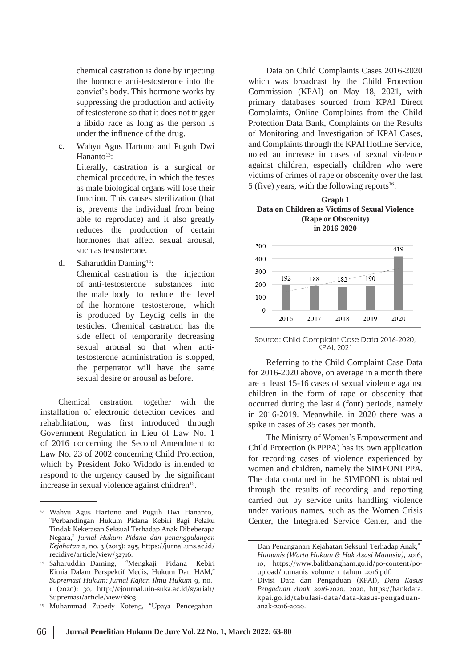chemical castration is done by injecting the hormone anti-testosterone into the convict's body. This hormone works by suppressing the production and activity of testosterone so that it does not trigger a libido race as long as the person is under the influence of the drug.

Wahyu Agus Hartono and Puguh Dwi Hananto $13$ : c.

> Literally, castration is a surgical or chemical procedure, in which the testes as male biological organs will lose their function. This causes sterilization (that is, prevents the individual from being able to reproduce) and it also greatly reduces the production of certain hormones that affect sexual arousal, such as testosterone.

Saharuddin Daming<sup>14</sup>: d.

Chemical castration is the injection of anti-testosterone substances into the male body to reduce the level of the hormone testosterone, which is produced by Leydig cells in the testicles. Chemical castration has the side effect of temporarily decreasing sexual arousal so that when antitestosterone administration is stopped, the perpetrator will have the same sexual desire or arousal as before.

Chemical castration. installation of electronic detection devices and together with the rehabilitation, was first introduced through Government Regulation in Lieu of Law No. 1 of 2016 concerning the Second Amendment to Law No. 23 of 2002 concerning Child Protection, which by President Joko Widodo is intended to respond to the urgency caused by the significant increase in sexual violence against children<sup>15</sup>.

Data on Child Complaints Cases 2016-2020 which was broadcast by the Child Protection Commission (KPAI) on May 18, 2021, with primary databases sourced from KPAI Direct Complaints, Online Complaints from the Child Protection Data Bank, Complaints on the Results of Monitoring and Investigation of KPAI Cases, and Complaints through the KPAI Hotline Service, noted an increase in cases of sexual violence against children, especially children who were victims of crimes of rape or obscenity over the last 5 (five) years, with the following reports<sup>16</sup>:

#### **Graph 1 Data on Children as Victims of Sexual Violence (Rape or Obscenity) in 2016-2020**



Source: Child Complaint Case Data 2016-2020, KPAI, 2021

Referring to the Child Complaint Case Data for 2016-2020 above, on average in a month there are at least 15-16 cases of sexual violence against children in the form of rape or obscenity that occurred during the last 4 (four) periods, namely in 2016-2019. Meanwhile, in 2020 there was a spike in cases of 35 cases per month.

The Ministry of Women's Empowerment and Child Protection (KPPPA) has its own application for recording cases of violence experienced by women and children, namely the SIMFONI PPA. The data contained in the SIMFONI is obtained through the results of recording and reporting carried out by service units handling violence under various names, such as the Women Crisis Center, the Integrated Service Center, and the

<sup>&</sup>lt;sup>13</sup> Wahyu Agus Hartono and Puguh Dwi Hananto, "Perbandingan Hukum Pidana Kebiri Bagi Pelaku Tindak Kekerasan Seksual Terhadap Anak Dibeberapa Negara," *Jurnal Hukum Pidana dan penanggulangan Kejahatan* 2, no. 3 (2013): 295, https://jurnal.uns.ac.id/ recidive/article/view/32716.

<sup>&</sup>quot;Mengkaji Pidana Kebiri Kimia Dalam Perspektif Medis, Hukum Dan HAM," *Supremasi Hukum: Jurnal Kajian Ilmu Hukum* 9, no. 1 (2020): 30, <http://ejournal.uin-suka.ac.id/syariah/> Supremasi/article/view/1803. <sup>14</sup> Saharuddin Daming,

Muhammad Zubedy Koteng, "Upaya Pencegahan 15

Dan Penanganan Kejahatan Seksual Terhadap Anak," *Humanis (Warta Hukum & Hak Asasi Manusia)*, 2016, 10, h[ttps://www.balitb](http://www.balitbangham.go.id/po-content/po-)an[gham.go.id/po-content/po](http://www.balitbangham.go.id/po-content/po-)upload/humanis\_volume\_1\_tahun\_2016.pdf.

Divisi Data dan Pengaduan (KPAI), *Data Kasus Pengaduan Anak 2016-2020*, 2020, https://bankdata. kpai.go.id/tabulasi-data/data-kasus-pengaduananak-2016-2020. 16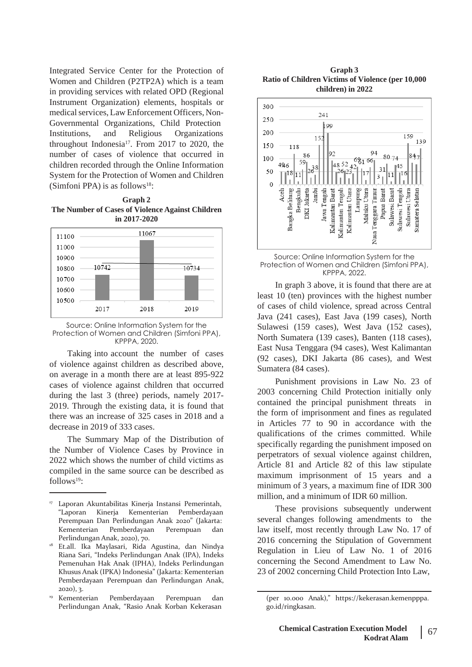Integrated Service Center for the Protection of Women and Children (P2TP2A) which is a team in providing services with related OPD (Regional Instrument Organization) elements, hospitals or medical services, Law Enforcement Officers, Non-Governmental Organizations, Child Protection Institutions, and Religious Organizations throughout Indonesia<sup>17</sup>. From 2017 to 2020, the number of cases of violence that occurred in children recorded through the Online Information System for the Protection of Women and Children (Simfoni PPA) is as follows<sup>18</sup>:

**Graph 2 The Number of Cases of Violence Against Children in 2017-2020**



Source: Online Information System for the Protection of Women and Children (Simfoni PPA), KPPPA, 2020.

Taking into account the number of cases of violence against children as described above, on average in a month there are at least 895-922 cases of violence against children that occurred during the last 3 (three) periods, namely 2017- 2019. Through the existing data, it is found that there was an increase of 325 cases in 2018 and a decrease in 2019 of 333 cases.

The Summary Map of the Distribution of the Number of Violence Cases by Province in 2022 which shows the number of child victims as compiled in the same source can be described as  $follows<sup>19</sup>$ :





Protection of Women and Children (Simfoni PPA), KPPPA, 2022.

In graph 3 above, it is found that there are at least 10 (ten) provinces with the highest number of cases of child violence, spread across Central Java (241 cases), East Java (199 cases), North Sulawesi (159 cases), West Java (152 cases), North Sumatera (139 cases), Banten (118 cases), East Nusa Tenggara (94 cases), West Kalimantan (92 cases), DKI Jakarta (86 cases), and West Sumatera (84 cases).

Punishment provisions in Law No. 23 of 2003 concerning Child Protection initially only contained the principal punishment threats in the form of imprisonment and fines as regulated in Articles 77 to 90 in accordance with the qualifications of the crimes committed. While specifically regarding the punishment imposed on perpetrators of sexual violence against children, Article 81 and Article 82 of this law stipulate maximum imprisonment of 15 years and a minimum of 3 years, a maximum fine of IDR 300 million, and a minimum of IDR 60 million.

These provisions subsequently underwent several changes following amendments to the law itself, most recently through Law No. 17 of 2016 concerning the Stipulation of Government Regulation in Lieu of Law No. 1 of 2016 concerning the Second Amendment to Law No. 23 of 2002 concerning Child Protection Into Law,

<sup>17</sup> Laporan Akuntabilitas Kinerja Instansi Pemerintah, "Laporan Kinerja Kementerian Pemberdayaan Perempuan Dan Perlindungan Anak 2020" (Jakarta: Kementerian Pemberdayaan Perempuan dan Perlindungan Anak, 2020), 70.

<sup>&</sup>lt;sup>18</sup> Et.all. Ika Maylasari, Rida Agustina, dan Nindya Riana Sari, "Indeks Perlindungan Anak (IPA), Indeks Pemenuhan Hak Anak (IPHA), Indeks Perlindungan Khusus Anak (IPKA) Indonesia" (Jakarta: Kementerian Pemberdayaan Perempuan dan Perlindungan Anak, 2020), 3.

<sup>19</sup> Kementerian Pemberdayaan Perempuan dan (per 10.000 Anak)," https://kekerasan.kemenpppa. Perlindungan Anak, "Rasio Anak Korban Kekerasan menjadi go.id/ringkasan.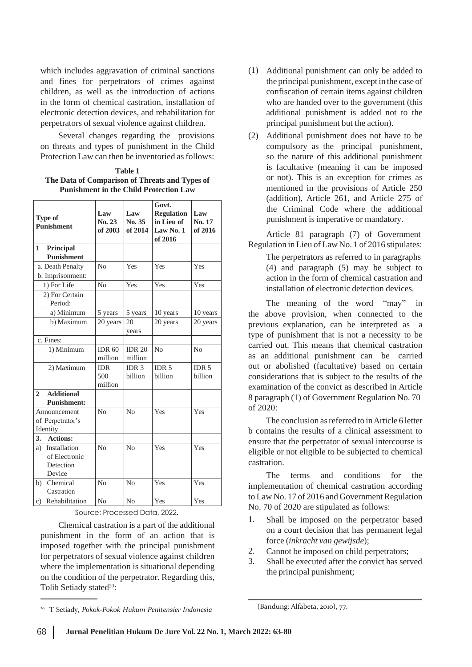which includes aggravation of criminal sanctions and fines for perpetrators of crimes against children, as well as the introduction of actions in the form of chemical castration, installation of electronic detection devices, and rehabilitation for perpetrators of sexual violence against children.

Several changes regarding the provisions on threats and types of punishment in the Child Protection Law can then be inventoried as follows:

**Table 1 The Data of Comparison of Threats and Types of Punishment in the Child Protection Law**

| <b>Type of</b><br><b>Punishment</b>                        | Law<br>No. 23<br>of 2003     | Law<br>No. 35<br>of 2014    | Govt.<br><b>Regulation</b><br>in Lieu of<br>Law No. 1<br>of 2016 | Law<br>No. 17<br>of 2016    |
|------------------------------------------------------------|------------------------------|-----------------------------|------------------------------------------------------------------|-----------------------------|
| Principal<br>1<br><b>Punishment</b>                        |                              |                             |                                                                  |                             |
| a. Death Penalty                                           | No                           | Yes                         | Yes                                                              | Yes                         |
| b. Imprisonment:                                           |                              |                             |                                                                  |                             |
| 1) For Life                                                | N <sub>0</sub>               | Yes                         | Yes                                                              | Yes                         |
| 2) For Certain<br>Period:                                  |                              |                             |                                                                  |                             |
| a) Minimum                                                 | 5 years                      | 5 years                     | 10 years                                                         | 10 years                    |
| b) Maximum                                                 | 20 years                     | 20<br>years                 | 20 years                                                         | 20 years                    |
| c. Fines:                                                  |                              |                             |                                                                  |                             |
| 1) Minimum                                                 | <b>IDR 60</b><br>million     | <b>IDR 20</b><br>million    | No                                                               | N <sub>0</sub>              |
| 2) Maximum                                                 | <b>IDR</b><br>500<br>million | IDR <sub>3</sub><br>billion | IDR <sub>5</sub><br>billion                                      | IDR <sub>5</sub><br>billion |
| $\overline{2}$<br><b>Additional</b>                        |                              |                             |                                                                  |                             |
| <b>Punishment:</b>                                         |                              |                             |                                                                  |                             |
| Announcement<br>of Perpetrator's<br>Identity               | No                           | N <sub>0</sub>              | Yes                                                              | Yes                         |
| <b>Actions:</b><br>3.                                      |                              |                             |                                                                  |                             |
| Installation<br>a)<br>of Electronic<br>Detection<br>Device | N <sub>0</sub>               | N <sub>0</sub>              | Yes                                                              | Yes                         |
| Chemical<br>b)<br>Castration                               | No                           | No                          | Yes                                                              | Yes                         |
| Rehabilitation<br>$\mathbf{c}$ )                           | No                           | N <sub>0</sub>              | Yes                                                              | Yes                         |

Chemical castration is a part of the additional punishment in the form of an action that is imposed together with the principal punishment for perpetrators of sexual violence against children where the implementation is situational depending on the condition of the perpetrator. Regarding this, Tolib Setiady stated<sup>20</sup>:

- (1) Additional punishment can only be added to the principal punishment, except in the case of confiscation of certain items against children who are handed over to the government (this additional punishment is added not to the principal punishment but the action).
- Additional punishment does not have to be (2) compulsory as the principal punishment, so the nature of this additional punishment is facultative (meaning it can be imposed or not). This is an exception for crimes as mentioned in the provisions of Article 250 (addition), Article 261, and Article 275 of the Criminal Code where the additional punishment is imperative or mandatory.

Article 81 paragraph (7) of Government Regulation in Lieu of Law No. 1 of 2016 stipulates:

The perpetrators as referred to in paragraphs (4) and paragraph (5) may be subject to action in the form of chemical castration and installation of electronic detection devices.

The meaning of the word "may" in the above provision, when connected to the previous explanation, can be interpreted as a type of punishment that is not a necessity to be carried out. This means that chemical castration as an additional punishment can be carried out or abolished (facultative) based on certain considerations that is subject to the results of the examination of the convict as described in Article 8 paragraph (1) of Government Regulation No. 70 of 2020:

The conclusion as referred to in Article 6 letter b contains the results of a clinical assessment to ensure that the perpetrator of sexual intercourse is eligible or not eligible to be subjected to chemical castration.

The terms and conditions for the implementation of chemical castration according to Law No. 17 of 2016 and Government Regulation No. 70 of 2020 are stipulated as follows:<br>Source: Processed Data, 2022.<br>1. Shall be imposed on the perpetrat

- Shall be imposed on the perpetrator based on a court decision that has permanent legal force (*inkracht van gewijsde*);
- Cannot be imposed on child perpetrators; 2.
- Shall be executed after the convict has served the principal punishment; 3.

<sup>20</sup> (Bandung: Alfabeta, 2010), 77. <sup>T</sup> Setiady, *Pokok-Pokok Hukum Penitensier Indonesia*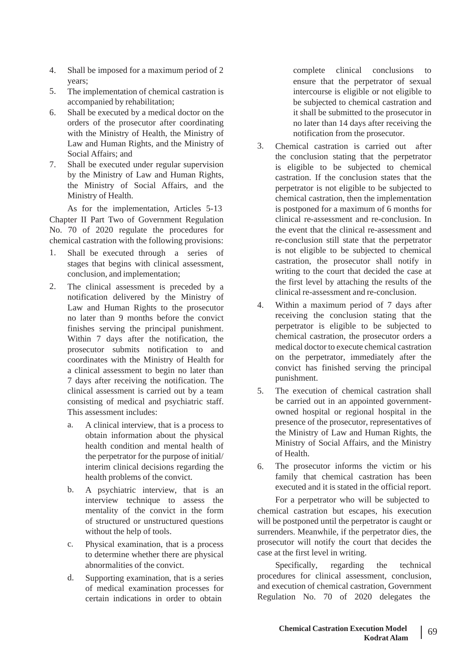- 4. Shall be imposed for a maximum period of 2 years;
- The implementation of chemical castration is accompanied by rehabilitation; 5.
- Shall be executed by a medical doctor on the orders of the prosecutor after coordinating with the Ministry of Health, the Ministry of Law and Human Rights, and the Ministry of Social Affairs; and 6.
- Shall be executed under regular supervision by the Ministry of Law and Human Rights, the Ministry of Social Affairs, and the Ministry of Health. 7.

As for the implementation, Articles 5-13 Chapter II Part Two of Government Regulation No. 70 of 2020 regulate the procedures for chemical castration with the following provisions:

- 1. Shall be executed through a series of stages that begins with clinical assessment, conclusion, and implementation;
- The clinical assessment is preceded by a notification delivered by the Ministry of Law and Human Rights to the prosecutor no later than 9 months before the convict finishes serving the principal punishment. Within 7 days after the notification, the prosecutor submits notification to and coordinates with the Ministry of Health for a clinical assessment to begin no later than 7 days after receiving the notification. The clinical assessment is carried out by a team consisting of medical and psychiatric staff. This assessment includes: 2.
	- a. A clinical interview, that is a process to obtain information about the physical health condition and mental health of the perpetrator for the purpose of initial/ interim clinical decisions regarding the health problems of the convict.
	- A psychiatric interview, that is an interview technique to assess the mentality of the convict in the form of structured or unstructured questions without the help of tools. b.
	- Physical examination, that is a process to determine whether there are physical abnormalities of the convict. c.
	- Supporting examination, that is a series of medical examination processes for certain indications in order to obtain d.

complete clinical conclusions to ensure that the perpetrator of sexual intercourse is eligible or not eligible to be subjected to chemical castration and it shall be submitted to the prosecutor in no later than 14 days after receiving the notification from the prosecutor.

- Chemical castration is carried out after the conclusion stating that the perpetrator is eligible to be subjected to chemical castration. If the conclusion states that the perpetrator is not eligible to be subjected to chemical castration, then the implementation is postponed for a maximum of 6 months for clinical re-assessment and re-conclusion. In the event that the clinical re-assessment and re-conclusion still state that the perpetrator is not eligible to be subjected to chemical castration, the prosecutor shall notify in writing to the court that decided the case at the first level by attaching the results of the clinical re-assessment and re-conclusion. 3.
- Within a maximum period of 7 days after receiving the conclusion stating that the perpetrator is eligible to be subjected to chemical castration, the prosecutor orders a medical doctor to execute chemical castration on the perpetrator, immediately after the convict has finished serving the principal punishment. 4.
- The execution of chemical castration shall be carried out in an appointed governmentowned hospital or regional hospital in the presence of the prosecutor, representatives of the Ministry of Law and Human Rights, the Ministry of Social Affairs, and the Ministry of Health. 5.
- The prosecutor informs the victim or his family that chemical castration has been executed and it is stated in the official report. 6.

For a perpetrator who will be subjected to chemical castration but escapes, his execution will be postponed until the perpetrator is caught or surrenders. Meanwhile, if the perpetrator dies, the prosecutor will notify the court that decides the case at the first level in writing.

Specifically, regarding the technical procedures for clinical assessment, conclusion, and execution of chemical castration, Government Regulation No. 70 of 2020 delegates the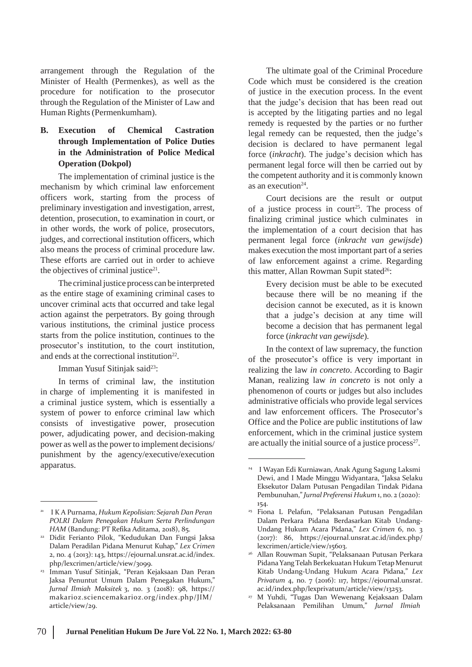arrangement through the Regulation of the Minister of Health (Permenkes), as well as the procedure for notification to the prosecutor through the Regulation of the Minister of Law and Human Rights(Permenkumham).

### **B. Execution of Chemical Castration through Implementation of Police Duties in the Administration of Police Medical Operation (Dokpol)**

The implementation of criminal justice is the mechanism by which criminal law enforcement officers work, starting from the process of preliminary investigation and investigation, arrest, detention, prosecution, to examination in court, or in other words, the work of police, prosecutors, judges, and correctional institution officers, which also means the process of criminal procedure law. These efforts are carried out in order to achieve the objectives of criminal justice<sup>21</sup>.

The criminal justice process can be interpreted as the entire stage of examining criminal cases to uncover criminal acts that occurred and take legal action against the perpetrators. By going through various institutions, the criminal justice process starts from the police institution, continues to the prosecutor's institution, to the court institution, and ends at the correctional institution<sup>22</sup>.

Imman Yusuf Sitinjak said<sup>23</sup>:

In terms of criminal law, the institution in charge of implementing it is manifested in a criminal justice system, which is essentially a system of power to enforce criminal law which consists of investigative power, prosecution power, adjudicating power, and decision-making power as well asthe power to implement decisions/ punishment by the agency/executive/execution apparatus. <sup>24</sup> <sup>I</sup> Wayan Edi Kurniawan, Anak Agung Sagung Laksmi

The ultimate goal of the Criminal Procedure Code which must be considered is the creation of justice in the execution process. In the event that the judge's decision that has been read out is accepted by the litigating parties and no legal remedy is requested by the parties or no further legal remedy can be requested, then the judge's decision is declared to have permanent legal force (*inkracht*). The judge's decision which has permanent legal force will then be carried out by the competent authority and it is commonly known as an execution<sup>24</sup>.

Court decisions are the result or output of a justice process in court<sup>25</sup>. The process of finalizing criminal justice which culminates in the implementation of a court decision that has permanent legal force (*inkracht van gewijsde*) makes execution the most important part of a series of law enforcement against a crime. Regarding this matter, Allan Rowman Supit stated<sup>26</sup>:

Every decision must be able to be executed because there will be no meaning if the decision cannot be executed, as it is known that a judge's decision at any time will become a decision that has permanent legal force (*inkracht van gewijsde*).

In the context of law supremacy, the function of the prosecutor's office is very important in realizing the law *in concreto*. According to Bagir Manan, realizing law *in concreto* is not only a phenomenon of courts or judges but also includes administrative officials who provide legal services and law enforcement officers. The Prosecutor's Office and the Police are public institutions of law enforcement, which in the criminal justice system are actually the initial source of a justice process<sup>27</sup>.

<sup>21</sup> I K A Purnama, *Hukum Kepolisian: Sejarah Dan Peran POLRI Dalam Penegakan Hukum Serta Perlindungan HAM* (Bandung: PT Refika Aditama, 2018), 85.

Didit Ferianto Pilok, "Kedudukan Dan Fungsi Jaksa 22 Dalam Peradilan Pidana Menurut Kuhap," *Lex Crimen* 2, no. 4 (2013): 143, https://ejournal.unsrat.ac.id/index. php/lexcrimen/article/view/3099.

<sup>&</sup>lt;del>23</del> Imman Yusuf Sitinjak, "Peran Kejaksaan Dan Peran Jaksa Penuntut Umum Dalam Penegakan Hukum," *Jurnal Ilmiah Maksitek* 3, no. 3 (2018): 98, https:// makarioz.sciencemakarioz.org/index.php/JIM/ article/view/29.

Dewi, and I Made Minggu Widyantara, "Jaksa Selaku Eksekutor Dalam Putusan Pengadilan Tindak Pidana Pembunuhan,"*Jurnal Preferensi Hukum* 1, no. 2 (2020): 154.

Fiona L Pelafun, "Pelaksanan Putusan Pengadilan Dalam Perkara Pidana Berdasarkan Kitab Undang-Undang Hukum Acara Pidana," *Lex Crimen* 6, no. 3 (2017): 86, https://ejournal.unsrat.ac.id/index.php/ lexcrimen/article/view/15603. 25

Allan Rouwman Supit, "Pelaksanaan Putusan Perkara 26 Pidana Yang Telah Berkekuatan Hukum Tetap Menurut Kitab Undang-Undang Hukum Acara Pidana," *Lex Privatum* 4, no. 7 (2016): 117, https://ejournal.unsrat. ac.id/index.php/lexprivatum/article/view/13253.

M Yuhdi, "Tugas Dan Wewenang Kejaksaan Dalam Pelaksanaan Pemilihan Umum," *Jurnal Ilmiah* 27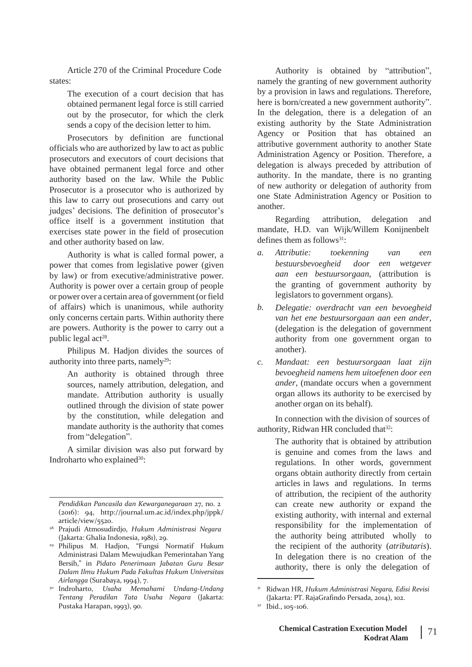Article 270 of the Criminal Procedure Code states:

> The execution of a court decision that has obtained permanent legal force is still carried out by the prosecutor, for which the clerk sends a copy of the decision letter to him.

Prosecutors by definition are functional officials who are authorized by law to act as public prosecutors and executors of court decisions that have obtained permanent legal force and other authority based on the law. While the Public Prosecutor is a prosecutor who is authorized by this law to carry out prosecutions and carry out judges' decisions. The definition of prosecutor's office itself is a government institution that exercises state power in the field of prosecution and other authority based on law.

Authority is what is called formal power, a power that comes from legislative power (given by law) or from executive/administrative power. Authority is power over a certain group of people or power over a certain area of government(orfield of affairs) which is unanimous, while authority only concerns certain parts. Within authority there are powers. Authority is the power to carry out a public legal act<sup>28</sup>.

Philipus M. Hadjon divides the sources of authority into three parts, namely<sup>29</sup>:

> An authority is obtained through three sources, namely attribution, delegation, and mandate. Attribution authority is usually outlined through the division of state power by the constitution, while delegation and mandate authority is the authority that comes from "delegation".

A similar division was also put forward by Indroharto who explained<sup>30</sup>:

*Pendidikan Pancasila dan Kewarganegaraan* 27, no. 2 (2016): 94, <http://journal.um.ac.id/index.php/jppk/> article/view/5520.

Authority is obtained by "attribution", namely the granting of new government authority by a provision in laws and regulations. Therefore, here is born/created a new government authority". In the delegation, there is a delegation of an existing authority by the State Administration Agency or Position that has obtained an attributive government authority to another State Administration Agency or Position. Therefore, a delegation is always preceded by attribution of authority. In the mandate, there is no granting of new authority or delegation of authority from one State Administration Agency or Position to another.

Regarding attribution, delegation and mandate, H.D. van Wijk/Willem Konijnenbelt defines them as follows $31$ :

- *a. Attributie: toekenning van een bestuursbevoegheid door aan een bestuursorgaan*, (attribution is *een wetgever* the granting of government authority by legislators to government organs).
- *Delegatie: overdracht van een bevoegheid van het ene bestuursorgaan aan een ander*, (delegation is the delegation of government authority from one government organ to another). *b.*
- *Mandaat: een bestuursorgaan laat zijn bevoegheid namens hem uitoefenen door een ander*, (mandate occurs when a government organ allows its authority to be exercised by another organ on its behalf). *c.*

In connection with the division of sources of authority, Ridwan HR concluded that<sup>32</sup>:

The authority that is obtained by attribution is genuine and comes from the laws and regulations. In other words, government organs obtain authority directly from certain articles in laws and regulations. In terms of attribution, the recipient of the authority can create new authority or expand the existing authority, with internal and external responsibility for the implementation of the authority being attributed wholly to the recipient of the authority (*atributaris*). In delegation there is no creation of the authority, there is only the delegation of

Prajudi Atmosudirdjo, *Hukum Administrasi Negara* 28 (Jakarta: Ghalia Indonesia, 1981), 29.

Philipus M. Hadjon, "Fungsi Normatif Hukum 29 Administrasi Dalam Mewujudkan Pemerintahan Yang Bersih," in *Pidato Penerimaan Jabatan Guru Besar Dalam Ilmu Hukum Pada Fakultas Hukum Universitas Airlangga* (Surabaya, 1994), 7.

Indroharto, *Usaha Memahami Undang-Undang Tentang Peradilan Tata Usaha Negara* (Jakarta: Pustaka Harapan, 1993), 90.

<sup>30</sup> <sup>31</sup> Ridwan HR, *Hukum Administrasi Negara, Edisi Revisi* (Jakarta: PT. RajaGrafindo Persada, 2014), 102.

 $32$  Ibid., 105-106.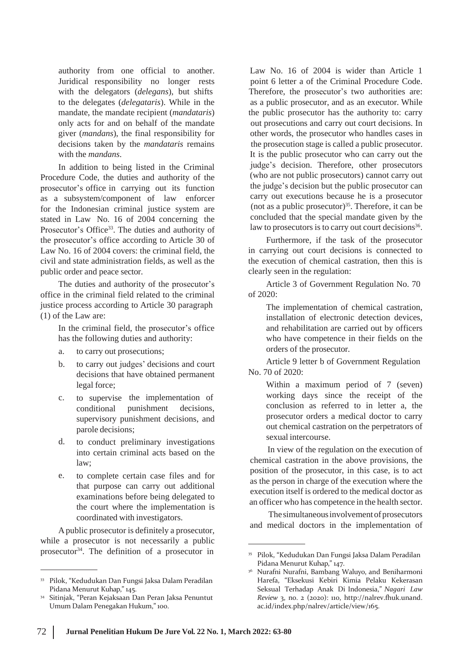authority from one official to another. Juridical responsibility no longer rests with the delegators (*delegans*), but shifts to the delegates (*delegataris*). While in the mandate, the mandate recipient (*mandataris*) only acts for and on behalf of the mandate giver (*mandans*), the final responsibility for decisions taken by the *mandataris* remains with the *mandans*.

In addition to being listed in the Criminal Procedure Code, the duties and authority of the prosecutor's office in carrying out its function as a subsystem/component of law enforcer for the Indonesian criminal justice system are stated in Law No. 16 of 2004 concerning the Prosecutor's Office<sup>33</sup>. The duties and authority of the prosecutor's office according to Article 30 of Law No. 16 of 2004 covers: the criminal field, the civil and state administration fields, as well as the public order and peace sector.

The duties and authority of the prosecutor's office in the criminal field related to the criminal justice process according to Article 30 paragraph (1) of the Law are:

In the criminal field, the prosecutor's office has the following duties and authority:

- a. to carry out prosecutions;
- b. to carry out judges' decisions and court decisions that have obtained permanent legal force;
- c. to supervise the implementation of conditional punishment decisions, supervisory punishment decisions, and parole decisions;
- to conduct preliminary investigations into certain criminal acts based on the law; d.
- to complete certain case files and for that purpose can carry out additional examinations before being delegated to the court where the implementation is coordinated with investigators. e.

Apublic prosecutor is definitely a prosecutor, while a prosecutor is not necessarily a public prosecutor<sup>34</sup>. The definition of a prosecutor in <sup>35</sup> Pilok, "Kedudukan Dan Fungsi Jaksa Dalam Peradilan

Law No. 16 of 2004 is wider than Article 1 point 6 letter a of the Criminal Procedure Code. Therefore, the prosecutor's two authorities are: as a public prosecutor, and as an executor. While the public prosecutor has the authority to: carry out prosecutions and carry out court decisions. In other words, the prosecutor who handles cases in the prosecution stage is called a public prosecutor. It is the public prosecutor who can carry out the judge's decision. Therefore, other prosecutors (who are not public prosecutors) cannot carry out the judge's decision but the public prosecutor can carry out executions because he is a prosecutor (not as a public prosecutor) $35$ . Therefore, it can be concluded that the special mandate given by the law to prosecutors is to carry out court decisions<sup>36</sup>.

Furthermore, if the task of the prosecutor in carrying out court decisions is connected to the execution of chemical castration, then this is clearly seen in the regulation:

Article 3 of Government Regulation No. 70 of 2020:

> The implementation of chemical castration, installation of electronic detection devices, and rehabilitation are carried out by officers who have competence in their fields on the orders of the prosecutor.

Article 9 letter b of Government Regulation No. 70 of 2020:

Within a maximum period of 7 (seven) working days since the receipt of the conclusion as referred to in letter a, the prosecutor orders a medical doctor to carry out chemical castration on the perpetrators of sexual intercourse.

In view of the regulation on the execution of chemical castration in the above provisions, the position of the prosecutor, in this case, is to act as the person in charge of the execution where the execution itself is ordered to the medical doctor as an officer who has competence in the health sector.

The simultaneous involvement of prosecutors and medical doctors in the implementation of

<sup>33</sup> Pilok, "Kedudukan Dan Fungsi Jaksa Dalam Peradilan Pidana Menurut Kuhap," 145.

Sitinjak, "Peran Kejaksaan Dan Peran Jaksa Penuntut Umum Dalam Penegakan Hukum," 100. 34

Pidana Menurut Kuhap," 147.

Nurafni Nurafni, Bambang Waluyo, and Beniharmoni Harefa, "Eksekusi Kebiri Kimia Pelaku Kekerasan Seksual Terhadap Anak Di Indonesia," *Nagari Law Review* 3, no. 2 (2020): 110, [http://nalrev.fhuk.unand.](http://nalrev.fhuk.unand/) ac.id/index.php/nalrev/article/view/165. 36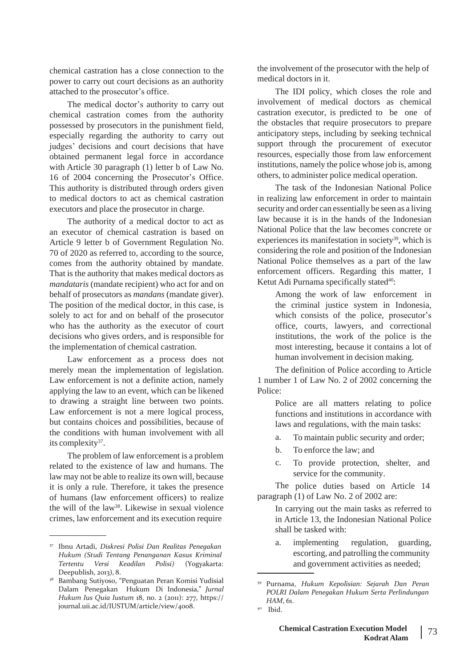chemical castration has a close connection to the power to carry out court decisions as an authority attached to the prosecutor's office.

The medical doctor's authority to carry out chemical castration comes from the authority possessed by prosecutors in the punishment field, especially regarding the authority to carry out judges' decisions and court decisions that have obtained permanent legal force in accordance with Article 30 paragraph (1) letter b of Law No. 16 of 2004 concerning the Prosecutor's Office. This authority is distributed through orders given to medical doctors to act as chemical castration executors and place the prosecutor in charge.

The authority of a medical doctor to act as an executor of chemical castration is based on Article 9 letter b of Government Regulation No. 70 of 2020 as referred to, according to the source, comes from the authority obtained by mandate. That is the authority that makes medical doctors as *mandataris* (mandate recipient) who act for and on behalf of prosecutors as *mandans* (mandate giver). The position of the medical doctor, in this case, is solely to act for and on behalf of the prosecutor who has the authority as the executor of court decisions who gives orders, and is responsible for the implementation of chemical castration.

Law enforcement as a process does not merely mean the implementation of legislation. Law enforcement is not a definite action, namely applying the law to an event, which can be likened to drawing a straight line between two points. Law enforcement is not a mere logical process, but contains choices and possibilities, because of the conditions with human involvement with all its complexity<sup>37</sup>.

The problem of law enforcement is a problem related to the existence of law and humans. The law may not be able to realize its own will, because it is only a rule. Therefore, it takes the presence of humans (law enforcement officers) to realize the will of the law<sup>38</sup>. Likewise in sexual violence crimes, law enforcement and its execution require

the involvement of the prosecutor with the help of medical doctors in it.

The IDI policy, which closes the role and involvement of medical doctors as chemical castration executor, is predicted to be one of the obstacles that require prosecutors to prepare anticipatory steps, including by seeking technical support through the procurement of executor resources, especially those from law enforcement institutions, namely the police whose job is, among others, to administer police medical operation.

The task of the Indonesian National Police in realizing law enforcement in order to maintain security and order can essentially be seen as a living law because it is in the hands of the Indonesian National Police that the law becomes concrete or experiences its manifestation in society<sup>39</sup>, which is considering the role and position of the Indonesian National Police themselves as a part of the law enforcement officers. Regarding this matter, I Ketut Adi Purnama specifically stated<sup>40</sup>:

> Among the work of law enforcement in the criminal justice system in Indonesia, which consists of the police, prosecutor's office, courts, lawyers, and correctional institutions, the work of the police is the most interesting, because it contains a lot of human involvement in decision making.

The definition of Police according to Article 1 number 1 of Law No. 2 of 2002 concerning the Police:

> Police are all matters relating to police functions and institutions in accordance with laws and regulations, with the main tasks:

- a. To maintain public security and order;
- b. To enforce the law; and
- c. To provide protection, shelter, and service for the community.

The police duties based on Article 14 paragraph (1) of Law No. 2 of 2002 are:

> In carrying out the main tasks as referred to in Article 13, the Indonesian National Police shall be tasked with:

<sup>37</sup> Ibnu Artadi, *Diskresi Polisi Dan Realitas Penegakan* a. implementing regulation, guarding,<br>Hukum (Studi Tentang Pengngangn Kasus Kriminal sessorting, and patrolling the community

*Hukum (Studi Tentang Penanganan Kasus Kriminal*<br>*Tertentu Versi Keadilan Polisi) (Yogyakarta: Tertentu Versi Keadilan Polisi)* (Yogyakarta: and government activities as needed; Deepublish, 2013), 8.

Bambang Sutiyoso, "Penguatan Peran Komisi Yudisial Dalam Penegakan Hukum Di Indonesia," *Jurnal Hukum Ius Quia Iustum* 18, no. 2 (2011): 277, https:// journal.uii.ac.id/IUSTUM/article/view/4008. 38

<sup>39</sup> Purnama, *Hukum Kepolisian: Sejarah Dan Peran POLRI Dalam Penegakan Hukum Serta Perlindungan HAM*, 61. 40 Ibid.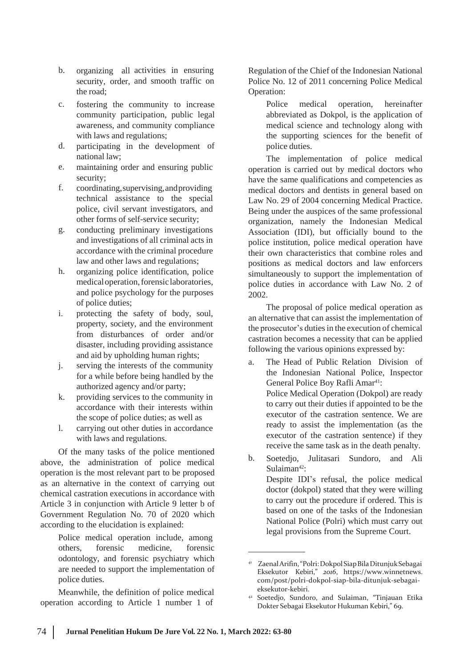- b. organizing all activities in ensuring security, order, and smooth traffic on the road;
- c. fostering the community to increase community participation, public legal awareness, and community compliance with laws and regulations;
- d. participating in the development of national law;
- e. maintaining order and ensuring public security;
- coordinating,supervising,andproviding technical assistance to the special police, civil servant investigators, and other forms of self-service security; f.
- conducting preliminary investigations and investigations of all criminal acts in accordance with the criminal procedure law and other laws and regulations; g.
- organizing police identification, police medicaloperation,forensiclaboratories, and police psychology for the purposes of police duties; h.
- protecting the safety of body, soul, property, society, and the environment from disturbances of order and/or disaster, including providing assistance and aid by upholding human rights; i.
- serving the interests of the community for a while before being handled by the authorized agency and/or party; j.
- providing services to the community in accordance with their interests within the scope of police duties; as well as k.
- carrying out other duties in accordance with laws and regulations. l.

Of the many tasks of the police mentioned above, the administration of police medical operation is the most relevant part to be proposed as an alternative in the context of carrying out chemical castration executions in accordance with Article 3 in conjunction with Article 9 letter b of Government Regulation No. 70 of 2020 which according to the elucidation is explained:

> Police medical operation include, among others, forensic medicine, forensic odontology, and forensic psychiatry which are needed to support the implementation of police duties.

Meanwhile, the definition of police medical operation according to Article 1 number 1 of

Regulation of the Chief of the Indonesian National Police No. 12 of 2011 concerning Police Medical Operation:

Police medical operation, hereinafter abbreviated as Dokpol, is the application of medical science and technology along with the supporting sciences for the benefit of police duties.

The implementation of police medical operation is carried out by medical doctors who have the same qualifications and competencies as medical doctors and dentists in general based on Law No. 29 of 2004 concerning Medical Practice. Being under the auspices of the same professional organization, namely the Indonesian Medical Association (IDI), but officially bound to the police institution, police medical operation have their own characteristics that combine roles and positions as medical doctors and law enforcers simultaneously to support the implementation of police duties in accordance with Law No. 2 of 2002.

The proposal of police medical operation as an alternative that can assist the implementation of the prosecutor's duties in the execution of chemical castration becomes a necessity that can be applied following the various opinions expressed by:

- a. The Head of Public Relation Division of the Indonesian National Police, Inspector General Police Boy Rafli Amar<sup>41</sup>: Police Medical Operation (Dokpol) are ready to carry out their duties if appointed to be the executor of the castration sentence. We are ready to assist the implementation (as the executor of the castration sentence) if they receive the same task as in the death penalty.
- Soetedio, Julitasari Sundoro, and Ali Sulaiman<sup>42</sup>: Despite IDI's refusal, the police medical doctor (dokpol) stated that they were willing to carry out the procedure if ordered. This is based on one of the tasks of the Indonesian National Police (Polri) which must carry out legal provisions from the Supreme Court. b.

<sup>41</sup> ZaenalArifin,"Polri:DokpolSiapBilaDitunjukSebagai Eksekutor Kebiri," *2016*, https://www.winnetnews. com/post/polri-dokpol-siap-bila-ditunjuk-sebagaieksekutor-kebiri.

Soetedjo, Sundoro, and Sulaiman, "Tinjauan Etika Dokter Sebagai Eksekutor Hukuman Kebiri," 69. 42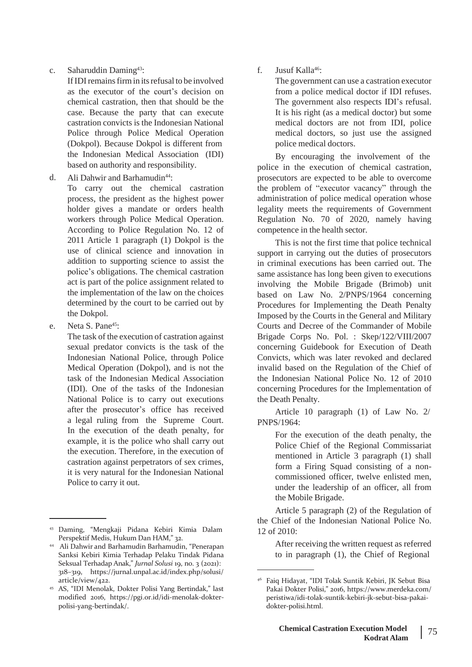c. Saharuddin Daming43:

If IDI remains firm in its refusal to be involved as the executor of the court's decision on chemical castration, then that should be the case. Because the party that can execute castration convicts is the Indonesian National Police through Police Medical Operation (Dokpol). Because Dokpol is different from based on authority and responsibility. the Indonesian Medical Association (IDI)

Ali Dahwir and Barhamudin<sup>44</sup>: d.

To carry out the chemical castration process, the president as the highest power holder gives a mandate or orders health workers through Police Medical Operation. According to Police Regulation No. 12 of 2011 Article 1 paragraph (1) Dokpol is the use of clinical science and innovation in addition to supporting science to assist the police's obligations. The chemical castration act is part of the police assignment related to the implementation of the law on the choices determined by the court to be carried out by the Dokpol.

Neta S. Pane<sup>45</sup>: e.

> The task of the execution of castration against sexual predator convicts is the task of the Indonesian National Police, through Police Medical Operation (Dokpol), and is not the task of the Indonesian Medical Association (IDI). One of the tasks of the Indonesian National Police is to carry out executions after the prosecutor's office has received a legal ruling from the Supreme Court. In the execution of the death penalty, for example, it is the police who shall carry out the execution. Therefore, in the execution of castration against perpetrators of sex crimes, it is very natural for the Indonesian National Police to carry it out.

f. Jusuf Kalla46:

The government can use a castration executor from a police medical doctor if IDI refuses. The government also respects IDI's refusal. It is his right (as a medical doctor) but some medical doctors are not from IDI, police medical doctors, so just use the assigned police medical doctors.

By encouraging the involvement of the police in the execution of chemical castration, prosecutors are expected to be able to overcome the problem of "executor vacancy" through the administration of police medical operation whose legality meets the requirements of Government Regulation No. 70 of 2020, namely having competence in the health sector.

This is not the first time that police technical support in carrying out the duties of prosecutors in criminal executions has been carried out. The same assistance has long been given to executions involving the Mobile Brigade (Brimob) unit based on Law No. 2/PNPS/1964 concerning Procedures for Implementing the Death Penalty Imposed by the Courts in the General and Military Courts and Decree of the Commander of Mobile Brigade Corps No. Pol. : Skep/122/VIII/2007 concerning Guidebook for Execution of Death Convicts, which was later revoked and declared invalid based on the Regulation of the Chief of the Indonesian National Police No. 12 of 2010 concerning Procedures for the Implementation of the Death Penalty.

Article 10 paragraph (1) of Law No. 2/ PNPS/1964:

> For the execution of the death penalty, the Police Chief of the Regional Commissariat mentioned in Article 3 paragraph (1) shall form a Firing Squad consisting of a noncommissioned officer, twelve enlisted men, under the leadership of an officer, all from the Mobile Brigade.

Article 5 paragraph (2) of the Regulation of the Chief of the Indonesian National Police No. 12 of 2010:

> After receiving the written request as referred to in paragraph (1), the Chief of Regional

<sup>43</sup> Daming, "Mengkaji Pidana Kebiri Kimia Dalam Perspektif Medis, Hukum Dan HAM," 32.

Ali Dahwir and Barhamudin Barhamudin, "Penerapan 44 Sanksi Kebiri Kimia Terhadap Pelaku Tindak Pidana Seksual Terhadap Anak," *Jurnal Solusi* 19, no. 3 (2021): 318–319, https://jurnal.unpal.ac.id/index.php/solusi/ article/view/422.

AS, "IDI Menolak, Dokter Polisi Yang Bertindak," last 45 modified 2016, https://pgi.or.id/idi-menolak-dokterpolisi-yang-bertindak/.

<sup>46</sup> Faiq Hidayat, "IDI Tolak Suntik Kebiri, JK Sebut Bisa Pakai Dokter Polisi," 2016, h[ttps://www.merdeka.com/](http://www.merdeka.com/) peristiwa/idi-tolak-suntik-kebiri-jk-sebut-bisa-pakaidokter-polisi.html.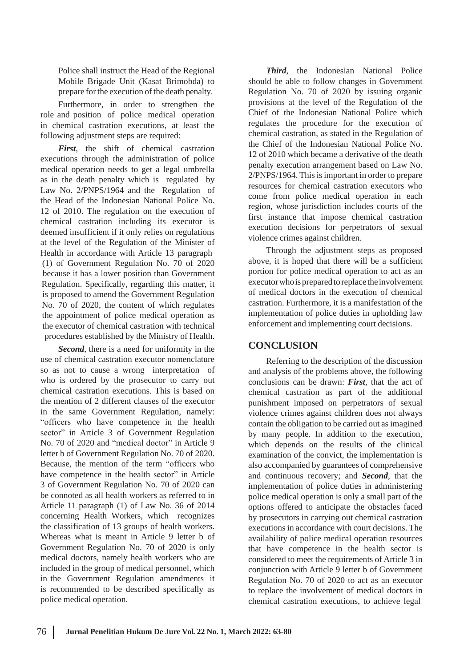Police shall instruct the Head of the Regional Mobile Brigade Unit (Kasat Brimobda) to prepare for the execution of the death penalty.

Furthermore, in order to strengthen the role and position of police medical operation in chemical castration executions, at least the following adjustment steps are required:

*First*, the shift of chemical castration executions through the administration of police medical operation needs to get a legal umbrella as in the death penalty which is regulated by Law No. 2/PNPS/1964 and the Regulation of the Head of the Indonesian National Police No. 12 of 2010. The regulation on the execution of chemical castration including its executor is deemed insufficient if it only relies on regulations at the level of the Regulation of the Minister of Health in accordance with Article 13 paragraph (1) of Government Regulation No. 70 of 2020 because it has a lower position than Government Regulation. Specifically, regarding this matter, it is proposed to amend the Government Regulation No. 70 of 2020, the content of which regulates the appointment of police medical operation as the executor of chemical castration with technical procedures established by the Ministry of Health.

*Second*, there is a need for uniformity in the use of chemical castration executor nomenclature so as not to cause a wrong interpretation of who is ordered by the prosecutor to carry out chemical castration executions. This is based on the mention of 2 different clauses of the executor in the same Government Regulation, namely: "officers who have competence in the health sector" in Article 3 of Government Regulation No. 70 of 2020 and "medical doctor" in Article 9 letter b of Government Regulation No. 70 of 2020. Because, the mention of the term "officers who have competence in the health sector" in Article 3 of Government Regulation No. 70 of 2020 can be connoted as all health workers as referred to in Article 11 paragraph (1) of Law No. 36 of 2014 concerning Health Workers, which recognizes the classification of 13 groups of health workers. Whereas what is meant in Article 9 letter b of Government Regulation No. 70 of 2020 is only medical doctors, namely health workers who are included in the group of medical personnel, which in the Government Regulation amendments it is recommended to be described specifically as police medical operation.

*Third*, the Indonesian National Police should be able to follow changes in Government Regulation No. 70 of 2020 by issuing organic provisions at the level of the Regulation of the Chief of the Indonesian National Police which regulates the procedure for the execution of chemical castration, as stated in the Regulation of the Chief of the Indonesian National Police No. 12 of 2010 which became a derivative of the death penalty execution arrangement based on Law No. 2/PNPS/1964. This is important in order to prepare resources for chemical castration executors who come from police medical operation in each region, whose jurisdiction includes courts of the first instance that impose chemical castration execution decisions for perpetrators of sexual violence crimes against children.

Through the adjustment steps as proposed above, it is hoped that there will be a sufficient portion for police medical operation to act as an executor who is prepared to replace the involvement of medical doctors in the execution of chemical castration. Furthermore, it is a manifestation of the implementation of police duties in upholding law enforcement and implementing court decisions.

# **CONCLUSION**

Referring to the description of the discussion and analysis of the problems above, the following conclusions can be drawn: *First*, that the act of chemical castration as part of the additional punishment imposed on perpetrators of sexual violence crimes against children does not always contain the obligation to be carried out asimagined by many people. In addition to the execution, which depends on the results of the clinical examination of the convict, the implementation is also accompanied by guarantees of comprehensive and continuous recovery; and *Second*, that the implementation of police duties in administering police medical operation is only a small part of the options offered to anticipate the obstacles faced by prosecutors in carrying out chemical castration executions in accordance with court decisions. The availability of police medical operation resources that have competence in the health sector is considered to meet the requirements of Article 3 in conjunction with Article 9 letter b of Government Regulation No. 70 of 2020 to act as an executor to replace the involvement of medical doctors in chemical castration executions, to achieve legal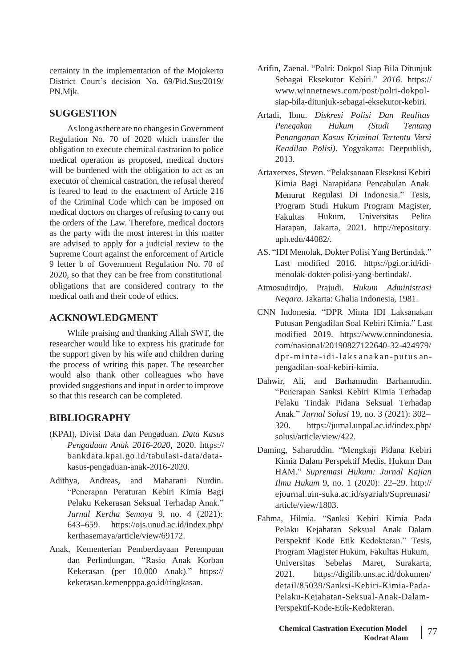certainty in the implementation of the Mojokerto District Court's decision No. 69/Pid.Sus/2019/ PN.Mjk.

### **SUGGESTION**

Aslongasthere are no changesin Government Regulation No. 70 of 2020 which transfer the obligation to execute chemical castration to police medical operation as proposed, medical doctors will be burdened with the obligation to act as an executor of chemical castration, the refusal thereof is feared to lead to the enactment of Article 216 of the Criminal Code which can be imposed on medical doctors on charges of refusing to carry out the orders of the Law. Therefore, medical doctors as the party with the most interest in this matter are advised to apply for a judicial review to the Supreme Court against the enforcement of Article 9 letter b of Government Regulation No. 70 of 2020, so that they can be free from constitutional obligations that are considered contrary to the medical oath and their code of ethics.

# **ACKNOWLEDGMENT**

While praising and thanking Allah SWT, the researcher would like to express his gratitude for the support given by his wife and children during the process of writing this paper. The researcher would also thank other colleagues who have provided suggestions and input in order to improve so that this research can be completed.

# **BIBLIOGRAPHY**

- (KPAI), Divisi Data dan Pengaduan. *Data Kasus Pengaduan Anak 2016-2020*, 2020. https:// bankdata.kpai.go.id/tabulasi-data/datakasus-pengaduan-anak-2016-2020.
- Adithya, Andreas, and Maharani Nurdin. "Penerapan Peraturan Kebiri Kimia Bagi Pelaku Kekerasan Seksual Terhadap Anak." *Jurnal Kertha Semaya* 9, no. 4 (2021): 643–659. https://ojs.unud.ac.id/index.php/ kerthasemaya/article/view/69172.
- Anak, Kementerian Pemberdayaan Perempuan dan Perlindungan. "Rasio Anak Korban Kekerasan (per 10.000 Anak)." https:// kekerasan.kemenpppa.go.id/ringkasan.
- Arifin, Zaenal. "Polri: Dokpol Siap Bila Ditunjuk Sebagai Eksekutor Kebiri." *2016*. https:// [www.winnetnews.com/post/polri-dokpol](http://www.winnetnews.com/post/polri-dokpol-)siap-bila-ditunjuk-sebagai-eksekutor-kebiri.
- Artadi, Ibnu. *Diskresi Polisi Dan Realitas Penegakan Hukum (Studi Tentang Penanganan Kasus Kriminal Tertentu Versi Keadilan Polisi)*. Yogyakarta: Deepublish, 2013.
- Artaxerxes, Steven. "Pelaksanaan Eksekusi Kebiri Kimia Bagi Narapidana Pencabulan Anak Menurut Regulasi Di Indonesia." Tesis, Program Studi Hukum Program Magister, Fakultas Hukum, Universitas Pelita Harapan, Jakarta, 2021. [http://repository.](http://repository/) uph.edu/44082/.
- AS. "IDI Menolak, Dokter Polisi Yang Bertindak." Last modified 2016. https://pgi.or.id/idimenolak-dokter-polisi-yang-bertindak/.
- Atmosudirdjo, Prajudi. *Hukum Administrasi Negara*. Jakarta: Ghalia Indonesia, 1981.
- CNN Indonesia. "DPR Minta IDI Laksanakan Putusan Pengadilan Soal Kebiri Kimia." Last modified 2019. https://www.cnnindonesia. com/nasional/20190827122640-32-424979/ dp r-mint a -i di-l ak s anak an -put u s anpengadilan-soal-kebiri-kimia.
- Dahwir, Ali, and Barhamudin Barhamudin. "Penerapan Sanksi Kebiri Kimia Terhadap Pelaku Tindak Pidana Seksual Terhadap Anak." *Jurnal Solusi* 19, no. 3 (2021): 302– 320. https://jurnal.unpal.ac.id/index.php/ solusi/article/view/422.
- Daming, Saharuddin. "Mengkaji Pidana Kebiri Kimia Dalam Perspektif Medis, Hukum Dan HAM." *Supremasi Hukum: Jurnal Kajian Ilmu Hukum* 9, no. 1 (2020): 22–29. http:// ejournal.uin-suka.ac.id/syariah/Supremasi/ article/view/1803.
- Fahma, Hilmia. "Sanksi Kebiri Kimia Pada Pelaku Kejahatan Seksual Anak Dalam Perspektif Kode Etik Kedokteran." Tesis, Program Magister Hukum, Fakultas Hukum, Universitas Sebelas Maret, Surakarta, 2021. https://digilib.uns.ac.id/dokumen/ detail/85039/Sanksi-Kebiri-Kimia-Pada-Pelaku-Kejahatan-Seksual-Anak-Dalam-Perspektif-Kode-Etik-Kedokteran.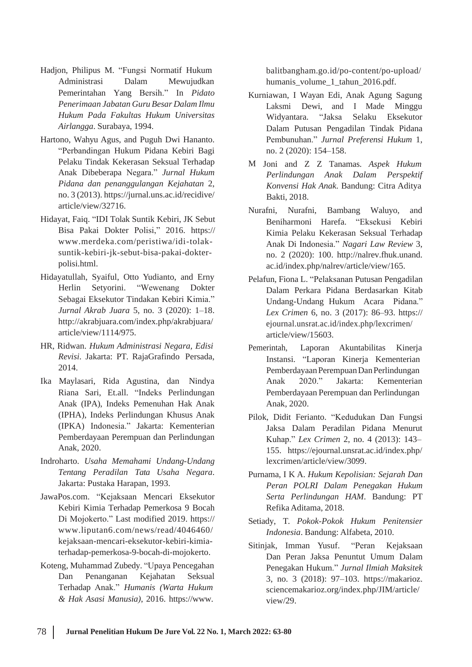- Hadjon, Philipus M. "Fungsi Normatif Hukum balitbangham.go.id/po-content/po-upload/ Administrasi Dalam Mewujudkan Pemerintahan Yang Bersih." In *Pidato Penerimaan Jabatan Guru Besar Dalam Ilmu Hukum Pada Fakultas Hukum Universitas Airlangga*. Surabaya, 1994.
- Hartono, Wahyu Agus, and Puguh Dwi Hananto. "Perbandingan Hukum Pidana Kebiri Bagi Pelaku Tindak Kekerasan Seksual Terhadap Anak Dibeberapa Negara." *Jurnal Hukum Pidana dan penanggulangan Kejahatan* 2, no. 3 (2013). https://jurnal.uns.ac.id/recidive/ article/view/32716.
- Hidayat, Faiq. "IDI Tolak Suntik Kebiri, JK Sebut Bisa Pakai Dokter Polisi," 2016. https:// [www.merdeka.com/peristiwa/idi-tolak](http://www.merdeka.com/peristiwa/idi-tolak-)suntik-kebiri-jk-sebut-bisa-pakai-dokterpolisi.html.
- Hidayatullah, Syaiful, Otto Yudianto, and Erny Herlin Setyorini. "Wewenang Dokter Sebagai Eksekutor Tindakan Kebiri Kimia." *Jurnal Akrab Juara* 5, no. 3 (2020): 1–18. <http://akrabjuara.com/index.php/akrabjuara/> article/view/1114/975.
- HR, Ridwan. *Hukum Administrasi Negara, Edisi* Pemerintah, Laporan Akuntabilitas Kinerja *Revisi*. Jakarta: PT. RajaGrafindo 2014.
- Ika Maylasari, Rida Agustina, dan Riana Sari, Et.all. "Indeks Perlindungan Anak (IPA), Indeks Pemenuhan Hak Anak (IPHA), Indeks Perlindungan Khusus Anak (IPKA) Indonesia." Jakarta: Kementerian Pemberdayaan Perempuan dan Perlindungan Anak, 2020.
- Indroharto. *Usaha Memahami Undang-Undang Tentang Peradilan Tata Usaha Negara*. Jakarta: Pustaka Harapan, 1993.
- JawaPos.com. "Kejaksaan Mencari Eksekutor Kebiri Kimia Terhadap Pemerkosa 9 Bocah Di Mojokerto." Last modified 2019. https:// [www.liputan6.com/news/read/4046460/](http://www.liputan6.com/news/read/4046460/) kejaksaan-mencari-eksekutor-kebiri-kimiaterhadap-pemerkosa-9-bocah-di-mojokerto.
- Koteng, Muhammad Zubedy. "Upaya Pencegahan Dan Penanganan Kejahatan Seksual Terhadap Anak." *Humanis (Warta Hukum & Hak Asasi Manusia)*, 2016. [https://www.](http://www/)

humanis\_volume\_1\_tahun\_2016.pdf.

- Kurniawan, I Wayan Edi, Anak Agung Sagung Laksmi Dewi, and I Made Minggu Widyantara. "Jaksa Selaku Eksekutor Dalam Putusan Pengadilan Tindak Pidana Pembunuhan." *Jurnal Preferensi Hukum* 1, no. 2 (2020): 154–158.
- M Joni and Z Z Tanamas. *Aspek Hukum Perlindungan Anak Dalam Perspektif Konvensi Hak Anak*. Bandung: Citra Aditya Bakti, 2018.
- Nurafni, Nurafni, Bambang Waluyo, and Beniharmoni Harefa. "Eksekusi Kebiri Kimia Pelaku Kekerasan Seksual Terhadap Anak Di Indonesia." *Nagari Law Review* 3, no. 2 (2020): 100. [http://nalrev.fhuk.unand.](http://nalrev.fhuk.unand/) ac.id/index.php/nalrev/article/view/165.
- Pelafun, Fiona L. "Pelaksanan Putusan Pengadilan Dalam Perkara Pidana Berdasarkan Kitab Undang-Undang Hukum Acara Pidana." *Lex Crimen* 6, no. 3 (2017): 86–93. https:// ejournal.unsrat.ac.id/index.php/lexcrimen/ article/view/15603.
- Instansi. "Laporan Kinerja Kementerian Pemberdayaan Perempuan Dan Perlindungan Nindya Anak 2020." Jakarta: Kementerian Pemberdayaan Perempuan dan Perlindungan Anak, 2020.
- Pilok, Didit Ferianto. "Kedudukan Dan Fungsi Jaksa Dalam Peradilan Pidana Menurut Kuhap." *Lex Crimen* 2, no. 4 (2013): 143– 155. https://ejournal.unsrat.ac.id/index.php/ lexcrimen/article/view/3099.
- Purnama, I K A. *Hukum Kepolisian: Sejarah Dan Peran POLRI Dalam Penegakan Hukum Serta Perlindungan HAM*. Bandung: PT Refika Aditama, 2018.
- Setiady, T. *Pokok-Pokok Hukum Penitensier Indonesia*. Bandung: Alfabeta, 2010.
- Sitinjak, Imman Yusuf. "Peran Kejaksaan Dan Peran Jaksa Penuntut Umum Dalam Penegakan Hukum." *Jurnal Ilmiah Maksitek* 3, no. 3 (2018): 97–103. https://makarioz. sciencemakarioz.org/index.php/JIM/article/ view/29.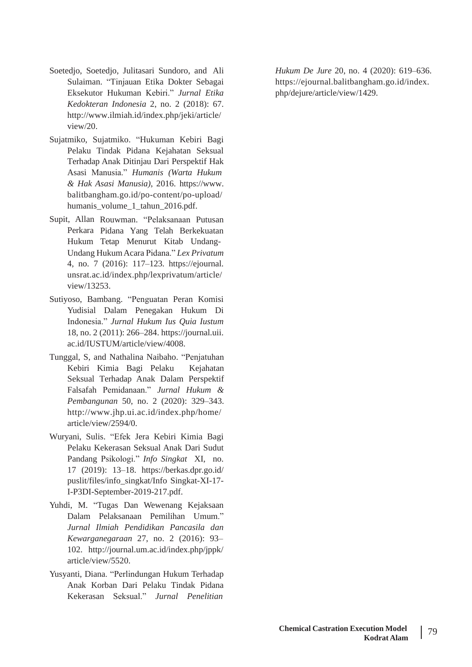- Soetedjo, Soetedjo, Julitasari Sundoro, and Ali Sulaiman. "Tinjauan Etika Dokter Sebagai Eksekutor Hukuman Kebiri." *Jurnal Etika Kedokteran Indonesia* 2, no. 2 (2018): 67. <http://www.ilmiah.id/index.php/jeki/article/> view/20.
- Sujatmiko, Sujatmiko. "Hukuman Kebiri Bagi Pelaku Tindak Pidana Kejahatan Seksual Terhadap Anak Ditinjau Dari Perspektif Hak Asasi Manusia." *Humanis (Warta Hukum & Hak Asasi Manusia)*, 2016. [https://www.](http://www/) balitbangham.go.id/po-content/po-upload/ humanis\_volume\_1\_tahun\_2016.pdf.
- Supit, Allan Rouwman. "Pelaksanaan Putusan Perkara Pidana Yang Telah Berkekuatan Hukum Tetap Menurut Kitab Undang-Undang HukumAcara Pidana." *Lex Privatum* 4, no. 7 (2016): 117–123. https://ejournal. unsrat.ac.id/index.php/lexprivatum/article/ view/13253.
- Sutiyoso, Bambang. "Penguatan Peran Komisi Yudisial Dalam Penegakan Hukum Di Indonesia." *Jurnal Hukum Ius Quia Iustum* 18, no. 2 (2011): 266–284. https://journal.uii. ac.id/IUSTUM/article/view/4008.
- Tunggal, S, and Nathalina Naibaho. "Penjatuhan Kebiri Kimia Bagi Pelaku Kejahatan Seksual Terhadap Anak Dalam Perspektif Falsafah Pemidanaan." *Jurnal Hukum & Pembangunan* 50, no. 2 (2020): 329–343. <http://www.jhp.ui.ac.id/index.php/home/> article/view/2594/0.
- Wuryani, Sulis. "Efek Jera Kebiri Kimia Bagi Pelaku Kekerasan Seksual Anak Dari Sudut Pandang Psikologi." *Info Singkat* XI, no. 17 (2019): 13–18. https://berkas.dpr.go.id/ puslit/files/info\_singkat/Info Singkat-XI-17- I-P3DI-September-2019-217.pdf.
- Yuhdi, M. "Tugas Dan Wewenang Kejaksaan Dalam Pelaksanaan Pemilihan Umum." *Jurnal Ilmiah Pendidikan Pancasila dan Kewarganegaraan* 27, no. 2 (2016): 93– 102. <http://journal.um.ac.id/index.php/jppk/> article/view/5520.
- Yusyanti, Diana. "Perlindungan Hukum Terhadap Anak Korban Dari Pelaku Tindak Pidana Kekerasan Seksual." *Jurnal Penelitian*

*Hukum De Jure* 20, no. 4 (2020): 619–636. https://ejournal.balitbangham.go.id/index. php/dejure/article/view/1429.